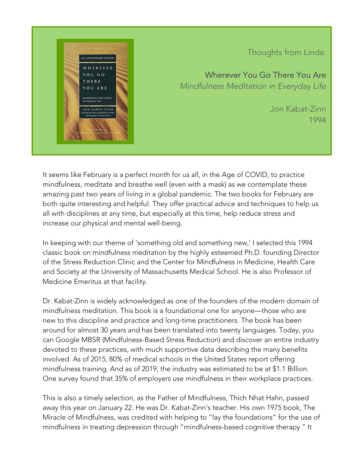

## Thoughts from Linda:

Wherever You Go There You Are *Mindfulness Meditation in Everyday Life*

> Jon Kabat-Zinn 1994

It seems like February is a perfect month for us all, in the Age of COVID, to practice mindfulness, meditate and breathe well (even with a mask) as we contemplate these amazing past two years of living in a global pandemic. The two books for February are both quite interesting and helpful. They offer practical advice and techniques to help us all with disciplines at any time, but especially at this time, help reduce stress and increase our physical and mental well-being.

In keeping with our theme of 'something old and something new,' I selected this 1994 classic book on mindfulness meditation by the highly esteemed Ph.D. founding Director of the Stress Reduction Clinic and the Center for Mindfulness in Medicine, Health Care and Society at the University of Massachusetts Medical School. He is also Professor of Medicine Emeritus at that facility.

Dr. Kabat-Zinn is widely acknowledged as one of the founders of the modern domain of mindfulness meditation. This book is a foundational one for anyone—those who are new to this discipline and practice and long-time practitioners. The book has been around for almost 30 years and has been translated into twenty languages. Today, you can Google MBSR (Mindfulness-Based Stress Reduction) and discover an entire industry devoted to these practices, with much supportive data describing the many benefits involved. As of 2015, 80% of medical schools in the United States report offering mindfulness training. And as of 2019, the industry was estimated to be at \$1.1 Billion. One survey found that 35% of employers use mindfulness in their workplace practices.

This is also a timely selection, as the Father of Mindfulness, Thich Nhat Hahn, passed away this year on January 22. He was Dr. Kabat-Zinn's teacher. His own 1975 book, The Miracle of Mindfulness, was credited with helping to "lay the foundations" for the use of mindfulness in treating depression through "mindfulness-based cognitive therapy." It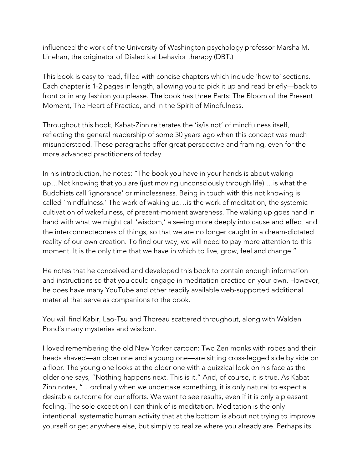influenced the work of the University of Washington psychology professor Marsha M. Linehan, the originator of Dialectical behavior therapy (DBT.)

This book is easy to read, filled with concise chapters which include 'how to' sections. Each chapter is 1-2 pages in length, allowing you to pick it up and read briefly—back to front or in any fashion you please. The book has three Parts: The Bloom of the Present Moment, The Heart of Practice, and In the Spirit of Mindfulness.

Throughout this book, Kabat-Zinn reiterates the 'is/is not' of mindfulness itself, reflecting the general readership of some 30 years ago when this concept was much misunderstood. These paragraphs offer great perspective and framing, even for the more advanced practitioners of today.

In his introduction, he notes: "The book you have in your hands is about waking up…Not knowing that you are (just moving unconsciously through life) …is what the Buddhists call 'ignorance' or mindlessness. Being in touch with this not knowing is called 'mindfulness.' The work of waking up…is the work of meditation, the systemic cultivation of wakefulness, of present-moment awareness. The waking up goes hand in hand with what we might call 'wisdom,' a seeing more deeply into cause and effect and the interconnectedness of things, so that we are no longer caught in a dream-dictated reality of our own creation. To find our way, we will need to pay more attention to this moment. It is the only time that we have in which to live, grow, feel and change."

He notes that he conceived and developed this book to contain enough information and instructions so that you could engage in meditation practice on your own. However, he does have many YouTube and other readily available web-supported additional material that serve as companions to the book.

You will find Kabir, Lao-Tsu and Thoreau scattered throughout, along with Walden Pond's many mysteries and wisdom.

I loved remembering the old New Yorker cartoon: Two Zen monks with robes and their heads shaved—an older one and a young one—are sitting cross-legged side by side on a floor. The young one looks at the older one with a quizzical look on his face as the older one says, "Nothing happens next. This is it." And, of course, it is true. As Kabat-Zinn notes, "…ordinally when we undertake something, it is only natural to expect a desirable outcome for our efforts. We want to see results, even if it is only a pleasant feeling. The sole exception I can think of is meditation. Meditation is the only intentional, systematic human activity that at the bottom is about not trying to improve yourself or get anywhere else, but simply to realize where you already are. Perhaps its